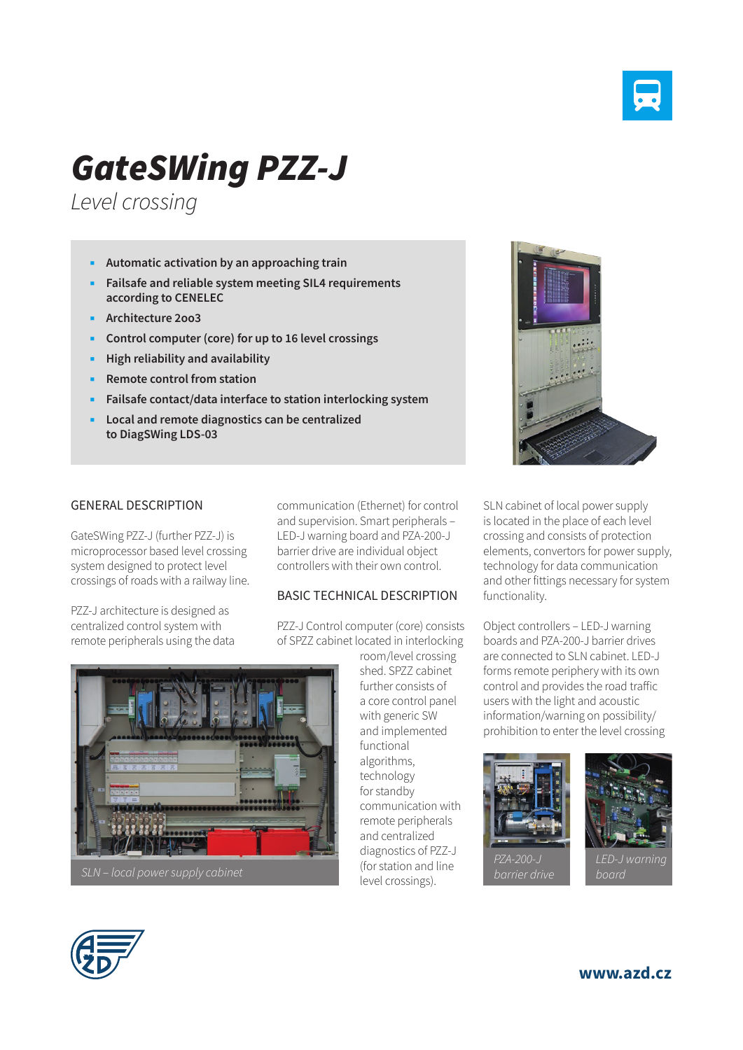

## *GateSWing PZZ-J*

*Level crossing*

- **Automatic activation by an approaching train**
- **Failsafe and reliable system meeting SIL4 requirements according to CENELEC**
- **Architecture 2oo3**
- **Control computer (core) for up to 16 level crossings**
- **High reliability and availability**
- **Remote control from station**
- **Failsafe contact/data interface to station interlocking system**
- **Local and remote diagnostics can be centralized to DiagSWing LDS-03**

## GENERAL DESCRIPTION

GateSWing PZZ-J (further PZZ-J) is microprocessor based level crossing system designed to protect level crossings of roads with a railway line.

PZZ-J architecture is designed as centralized control system with remote peripherals using the data communication (Ethernet) for control and supervision. Smart peripherals – LED-J warning board and PZA-200-J barrier drive are individual object controllers with their own control.

## BASIC TECHNICAL DESCRIPTION

PZZ-J Control computer (core) consists of SPZZ cabinet located in interlocking

> room/level crossing shed. SPZZ cabinet further consists of a core control panel with generic SW and implemented functional algorithms, technology for standby communication with remote peripherals and centralized diagnostics of PZZ-J (for station and line level crossings).



SLN cabinet of local power supply is located in the place of each level crossing and consists of protection elements, convertors for power supply, technology for data communication and other fittings necessary for system functionality.

Object controllers – LED-J warning boards and PZA-200-J barrier drives are connected to SLN cabinet. LED-J forms remote periphery with its own control and provides the road traffic users with the light and acoustic information/warning on possibility/ prohibition to enter the level crossing





*board*